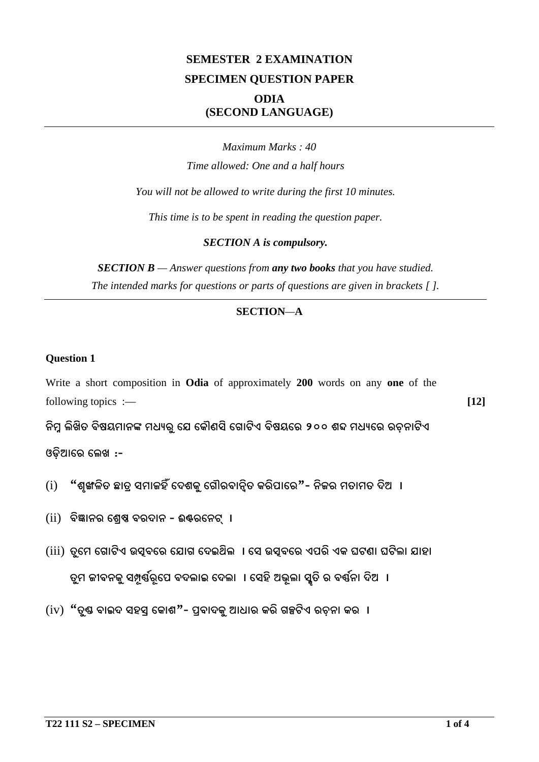## **SEMESTER 2 EXAMINATION SPECIMEN QUESTION PAPER ODIA (SECOND LANGUAGE)**

*Maximum Marks : 40 Time allowed: One and a half hours You will not be allowed to write during the first 10 minutes. This time is to be spent in reading the question paper. SECTION A is compulsory.*

*SECTION B — Answer questions from any two books that you have studied. The intended marks for questions or parts of questions are given in brackets [ ].*

#### **SECTION***—***A**

#### **Question 1**

Write a short composition in **Odia** of approximately **200** words on any **one** of the following topics :— **[12]** 

ିନିମ୍ନ ଲିଖିତ ବିଷୟମାନଙ୍କ ମଧ୍ୟରୁ ଯେ କୌଣସି ଗୋଟିଏ ବିଷୟରେ ୨୦୦ ଶବ୍ଦ ମଧ୍ୟରେ ରଚନାଟିଏ

ଓଡିଆରେ ଲେଖ $:$ -

- $(i)$  "ଶୁଙ୍ଖଳିତ ଛାତ୍ ସମାଜହିଁ ଦେଶକୁ ଗୌରବାନ୍ୱିତ କରିପାରେ $"$  ନିଜର ମତାମତ ଦିଅ $\:$  l
- $(iii)$  ବିଜ୍ଞାନର ଶ୍ରେଷ ବରଦାନ ଈଷ୍ଟରନେଟ୍ ।
- (iii) ତୁମେ ଗୋଟିଏ ଉସୂବରେ ଯୋଗ ଦେଇଥିଲ**ା ସେ ଉସୂବରେ ଏପରି ଏକ ଘଟଣା ଘଟିଲା** ଯାହା ତୁମ ଜୀବନକୁ ସମ୍ପୂର୍ଣ୍ଣରୂପେ ବଦଲାଇ ଦେଲା । ସେହି ଅଭୂଲା ସ୍କୃତି ର ବର୍ଷନା ଦିଅ ।
- $(iv)$  "ତୃଷ ବାଇଦ ସହସ୍ କୋଶ"- ପ୍ରବାଦକୁ ଆଧାର କରି ଗଳ୍ପଟିଏ ରଚନା କର ।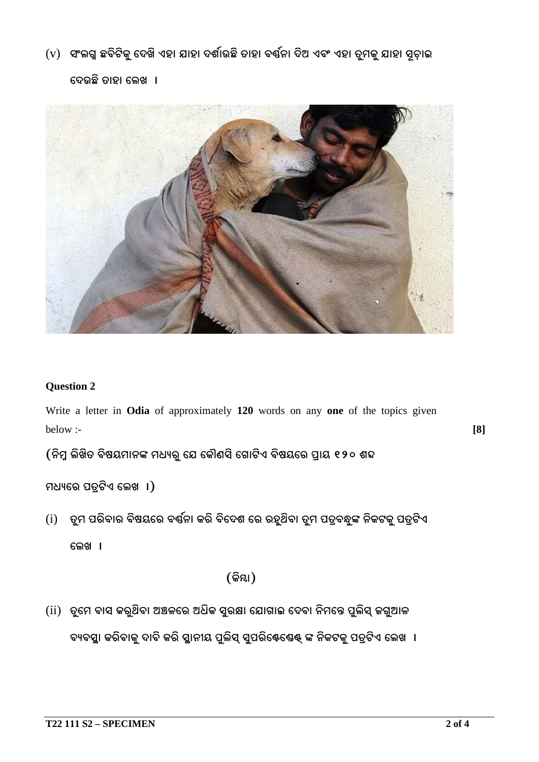$({\rm v})$  ସଂଲଗ୍ନ ଛବିଟିକୁ ଦେଖି ଏହା ଯାହା ଦର୍ଶାଉଛି ତାହା ବର୍ଷନା ଦିଅ ଏବଂ ଏହା ତୁମକୁ ଯାହା ସୂଚାଇ

ଦେଉଛି ତାହା ଲେଖ**ା** 



#### **Question 2**

Write a letter in **Odia** of approximately **120** words on any **one** of the topics given below :- **[8]**

(ନିମ୍ନ ଲିଖିତ ବିଷୟମାନଙ୍କ ମଧ୍ୟରୁ ଯେ କୌଣସି ଗୋଟିଏ ବିଷୟରେ ପ୍ରାୟ ୧୨୦ ଶବ୍ଦ

ମଧ୍ୟରେ ପତ୍ରଟିଏ ଲେଖ $\vert$  । $\vert$ 

 $(i)$  ତ୍ରମ ପରିବାର ବିଷୟରେ ବର୍ଷ୍ଣନା କରି ବିଦେଶ ରେ ରହୁଥିବା ତ୍ରମ ପତ୍ବନ୍ଧୁଙ୍କ ନିକଟକୁ ପତ୍ଟିଏ

ଲେଖ**ା** 

 $($ କିୟା $)$ 

 $(i)$  ତୁମେ ବାସ କରୁଥିବା ଅଞ୍ଚଳରେ ଅଧିକ ସୁରକ୍ଷା ଯୋଗାଇ ଦେବା ନିମନ୍ତେ ପୁଲିସ୍ ଜଗୁଆଳ

ବ୍ୟବସ୍ଥା କରିବାକୁ ଦାବି କରି ସ୍ଥାନୀୟ ପୁଲିସ୍ ସ୍ୱପରିଷ୍ଟେଷ୍ଟ୍ ଙ୍କ ନିକଟକୁ ପତ୍ରଟିଏ ଲେଖ**ା**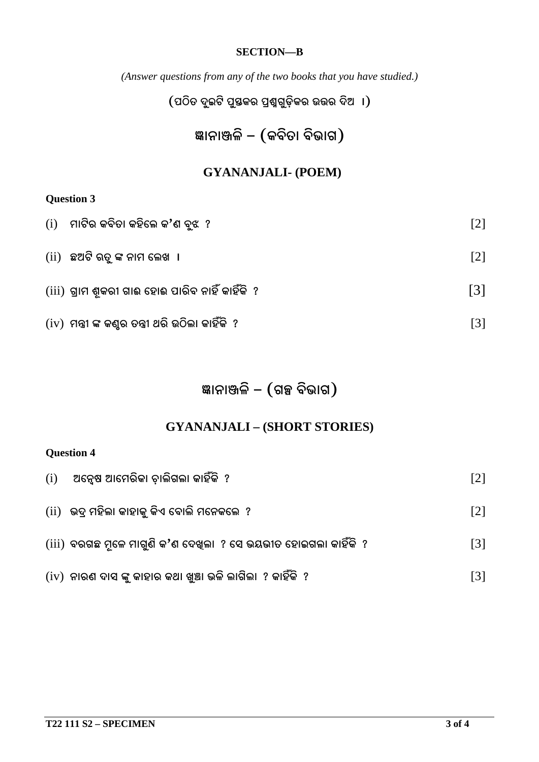#### **SECTION—B**

*(Answer questions from any of the two books that you have studied.)*

 $($ ପଠିତ ଦୁଇଟି ପୁସ୍ତକର ପ୍ରଶ୍ନଗୁଡ଼ିକର ଉତ୍ତର ଦିଅ $\,$  । $)$ 

# ଜ୍ଞାନାଞ୍ଜଳି – (କବିତା ବିଭାଗ)

### **GYANANJALI- (POEM)**

### **Question 3**

| $(i)$ ମାଟିର କବିତା କହିଲେ କ'ଣ ବୃଝ $?$                 | $\lceil 2 \rceil$ |
|-----------------------------------------------------|-------------------|
| $(ii)$ ଛଅଟି ରତୁ ଙ୍କ ନାମ ଲେଖ  ।                      | $\lceil 2 \rceil$ |
| $(iii)$ ଗ୍ରାମ ଶୂକରୀ ଗାଈ ହୋଈ ପାରିବ ନାହିଁ କାହିଁକି  ?  | $\lceil 3 \rceil$ |
| $(iv)$ ମନ୍ତ୍ରୀ ଙ୍କ କଣୁର ତନ୍ତ୍ରୀ ଥରି ଉଠିଲା କାହିଁକି ? | $\lceil 3 \rceil$ |

# ଞ୍ଜାନାଞ୍ଜଳି – (ଗଳ୍ପ ବିଭାଗ)

## **GYANANJALI – (SHORT STORIES)**

### **Question 4**

| (i) | ଅନ୍ୱେଷ ଆମେରିକା ଚାଲିଗଲା କାହିଁକି  ?                                | $\lceil 2 \rceil$ |
|-----|------------------------------------------------------------------|-------------------|
|     | $\left($ ii)   ଭଦ୍ର ମହିଲା କାହାକୁ କିଏ ବୋଲି ମନେକଲେ  ?              | $\lceil 2 \rceil$ |
|     | (iii)  ବରଗଛ ମୂଳେ ମାଗୁଣି କ'ଣ ଦେଖିଲା  ? ସେ ଭୟଭୀତ ହୋଇଗଲା କାହିଁକି  ? | $\lceil 3 \rceil$ |
|     | $(iv)$ ନାରଣ ଦାସ ଙ୍କୁ କାହାର କଥା ଖୁଞ୍ଚା ଭଳି ଲାଗିଲା  ? କାହିଁକି  ?   | $\lceil 3 \rceil$ |